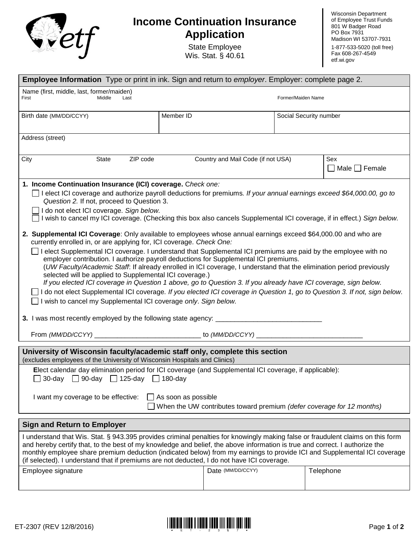

## **Income Continuation Insurance Application**

State Employee Wis. Stat. § 40.61 Wisconsin Department of Employee Trust Funds 801 W Badger Road PO Box 7931 Madison WI 53707-7931 1-877-533-5020 (toll free) Fax 608-267-4549 <etf.wi.gov>

| <b>Employee Information</b> Type or print in ink. Sign and return to <i>employer</i> . Employer: complete page 2.                                                                                                                                                                                                                                                                                                                                                                                                                                                                                                                                                                                                                                                                                                                                                                                                                                                                                                                                                                                                                                                                                                                                                                                                                                                                                                          |           |                                    |                        |                                  |  |  |
|----------------------------------------------------------------------------------------------------------------------------------------------------------------------------------------------------------------------------------------------------------------------------------------------------------------------------------------------------------------------------------------------------------------------------------------------------------------------------------------------------------------------------------------------------------------------------------------------------------------------------------------------------------------------------------------------------------------------------------------------------------------------------------------------------------------------------------------------------------------------------------------------------------------------------------------------------------------------------------------------------------------------------------------------------------------------------------------------------------------------------------------------------------------------------------------------------------------------------------------------------------------------------------------------------------------------------------------------------------------------------------------------------------------------------|-----------|------------------------------------|------------------------|----------------------------------|--|--|
| Name (first, middle, last, former/maiden)<br>First<br>Middle<br>Last                                                                                                                                                                                                                                                                                                                                                                                                                                                                                                                                                                                                                                                                                                                                                                                                                                                                                                                                                                                                                                                                                                                                                                                                                                                                                                                                                       |           |                                    | Former/Maiden Name     |                                  |  |  |
| Birth date (MM/DD/CCYY)                                                                                                                                                                                                                                                                                                                                                                                                                                                                                                                                                                                                                                                                                                                                                                                                                                                                                                                                                                                                                                                                                                                                                                                                                                                                                                                                                                                                    | Member ID |                                    | Social Security number |                                  |  |  |
| Address (street)                                                                                                                                                                                                                                                                                                                                                                                                                                                                                                                                                                                                                                                                                                                                                                                                                                                                                                                                                                                                                                                                                                                                                                                                                                                                                                                                                                                                           |           |                                    |                        |                                  |  |  |
| ZIP code<br>State<br>City                                                                                                                                                                                                                                                                                                                                                                                                                                                                                                                                                                                                                                                                                                                                                                                                                                                                                                                                                                                                                                                                                                                                                                                                                                                                                                                                                                                                  |           | Country and Mail Code (if not USA) |                        | Sex<br>$\Box$ Male $\Box$ Female |  |  |
| 1. Income Continuation Insurance (ICI) coverage. Check one:<br>$\Box$ I elect ICI coverage and authorize payroll deductions for premiums. If your annual earnings exceed \$64,000.00, go to<br>Question 2. If not, proceed to Question 3.<br>I do not elect ICI coverage. Sign below.<br>□ I wish to cancel my ICI coverage. (Checking this box also cancels Supplemental ICI coverage, if in effect.) Sign below.<br>2. Supplemental ICI Coverage: Only available to employees whose annual earnings exceed \$64,000.00 and who are<br>currently enrolled in, or are applying for, ICI coverage. Check One:<br>□ I elect Supplemental ICI coverage. I understand that Supplemental ICI premiums are paid by the employee with no<br>employer contribution. I authorize payroll deductions for Supplemental ICI premiums.<br>(UW Faculty/Academic Staff. If already enrolled in ICI coverage, I understand that the elimination period previously<br>selected will be applied to Supplemental ICI coverage.)<br>If you elected ICI coverage in Question 1 above, go to Question 3. If you already have ICI coverage, sign below.<br>□ I do not elect Supplemental ICI coverage. If you elected ICI coverage in Question 1, go to Question 3. If not, sign below.<br>□ I wish to cancel my Supplemental ICI coverage only. Sign below.<br>3. I was most recently employed by the following state agency: __________________ |           |                                    |                        |                                  |  |  |
| University of Wisconsin faculty/academic staff only, complete this section<br>(excludes employees of the University of Wisconsin Hospitals and Clinics)                                                                                                                                                                                                                                                                                                                                                                                                                                                                                                                                                                                                                                                                                                                                                                                                                                                                                                                                                                                                                                                                                                                                                                                                                                                                    |           |                                    |                        |                                  |  |  |
| Elect calendar day elimination period for ICI coverage (and Supplemental ICI coverage, if applicable):<br>30-day □ 90-day □ 125-day □ 180-day                                                                                                                                                                                                                                                                                                                                                                                                                                                                                                                                                                                                                                                                                                                                                                                                                                                                                                                                                                                                                                                                                                                                                                                                                                                                              |           |                                    |                        |                                  |  |  |
| $\Box$ As soon as possible<br>I want my coverage to be effective:<br>When the UW contributes toward premium (defer coverage for 12 months)                                                                                                                                                                                                                                                                                                                                                                                                                                                                                                                                                                                                                                                                                                                                                                                                                                                                                                                                                                                                                                                                                                                                                                                                                                                                                 |           |                                    |                        |                                  |  |  |
| <b>Sign and Return to Employer</b>                                                                                                                                                                                                                                                                                                                                                                                                                                                                                                                                                                                                                                                                                                                                                                                                                                                                                                                                                                                                                                                                                                                                                                                                                                                                                                                                                                                         |           |                                    |                        |                                  |  |  |
| I understand that Wis. Stat. § 943.395 provides criminal penalties for knowingly making false or fraudulent claims on this form<br>and hereby certify that, to the best of my knowledge and belief, the above information is true and correct. I authorize the<br>monthly employee share premium deduction (indicated below) from my earnings to provide ICI and Supplemental ICI coverage<br>(if selected). I understand that if premiums are not deducted, I do not have ICI coverage.                                                                                                                                                                                                                                                                                                                                                                                                                                                                                                                                                                                                                                                                                                                                                                                                                                                                                                                                   |           |                                    |                        |                                  |  |  |
| Employee signature                                                                                                                                                                                                                                                                                                                                                                                                                                                                                                                                                                                                                                                                                                                                                                                                                                                                                                                                                                                                                                                                                                                                                                                                                                                                                                                                                                                                         |           | Date (MM/DD/CCYY)                  |                        | Telephone                        |  |  |